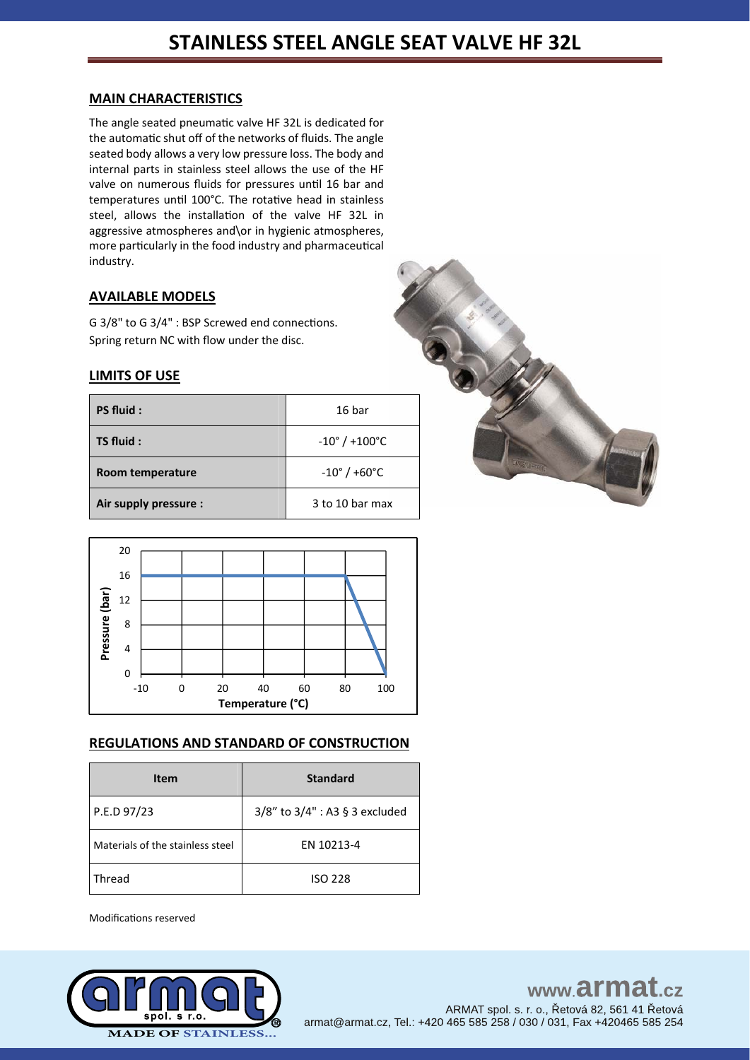## **MAIN CHARACTERISTICS**

The angle seated pneumatic valve HF 32L is dedicated for the automatic shut off of the networks of fluids. The angle seated body allows a very low pressure loss. The body and internal parts in stainless steel allows the use of the HF valve on numerous fluids for pressures until 16 bar and temperatures until 100°C. The rotative head in stainless steel, allows the installation of the valve HF 32L in aggressive atmospheres and\or in hygienic atmospheres, more particularly in the food industry and pharmaceutical industry.

# **AVAILABLE MODELS**

G 3/8" to G 3/4" : BSP Screwed end connections. Spring return NC with flow under the disc.

## **LIMITS OF USE**

| PS fluid:             | 16 bar                            |
|-----------------------|-----------------------------------|
| TS fluid:             | $-10^{\circ}$ / +100 $^{\circ}$ C |
| Room temperature      | $-10^{\circ}$ / +60 $^{\circ}$ C  |
| Air supply pressure : | 3 to 10 bar max                   |





## **REGULATIONS AND STANDARD OF CONSTRUCTION**

| Item                             | <b>Standard</b>                |
|----------------------------------|--------------------------------|
| P.E.D 97/23                      | 3/8" to 3/4" : A3 § 3 excluded |
| Materials of the stainless steel | EN 10213-4                     |
| Thread                           | <b>ISO 228</b>                 |

Modifications reserved

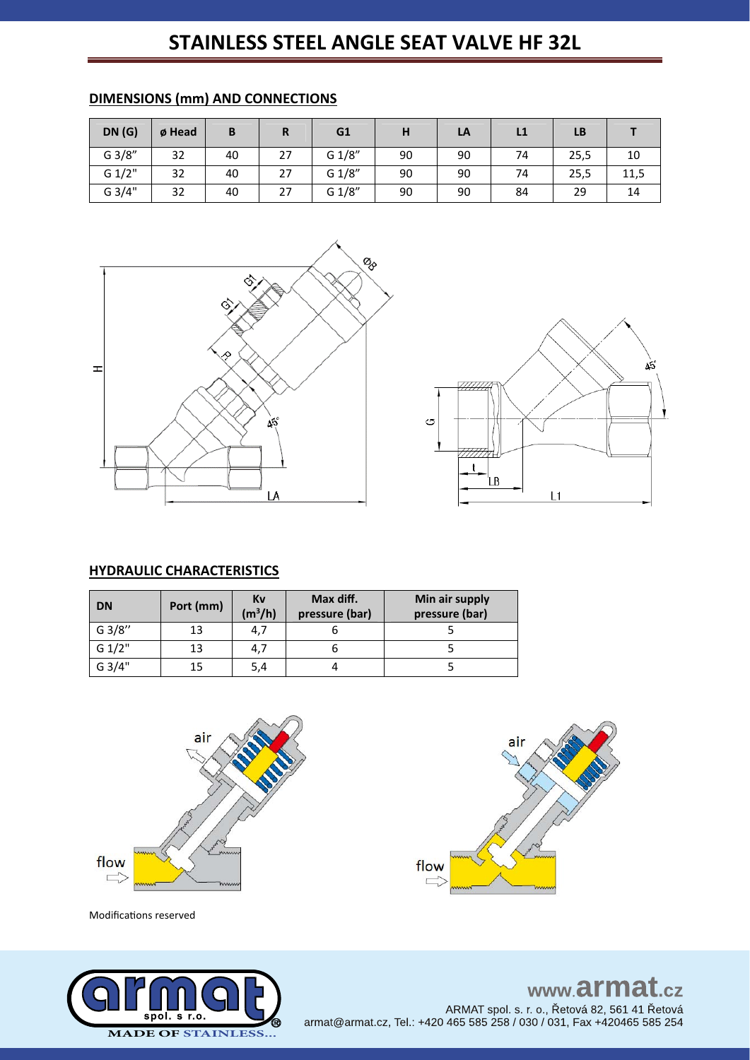# **STAINLESS STEEL ANGLE SEAT VALVE HF 32L**

| DN(G)  | ø Head | B  | R  | G1     | H  | LA | L1 | LB   |      |
|--------|--------|----|----|--------|----|----|----|------|------|
| G 3/8" | 32     | 40 | 27 | G 1/8" | 90 | 90 | 74 | 25,5 | 10   |
| G 1/2" | 32     | 40 | 27 | G 1/8" | 90 | 90 | 74 | 25,5 | 11,5 |
| G 3/4" | 32     | 40 | 27 | G 1/8" | 90 | 90 | 84 | 29   | 14   |

## **DIMENSIONS (mm) AND CONNECTIONS**



![](_page_1_Figure_4.jpeg)

# **HYDRAULIC CHARACTERISTICS**

| <b>DN</b> | Port (mm) | Kv<br>$(m^3/h)$ | Max diff.<br>pressure (bar) | Min air supply<br>pressure (bar) |
|-----------|-----------|-----------------|-----------------------------|----------------------------------|
| G3/8"     | 13        | 4,7             |                             |                                  |
| G 1/2"    | 13        | 4,7             |                             |                                  |
| G 3/4"    | 15        | 5,4             |                             |                                  |

![](_page_1_Figure_7.jpeg)

Modifications reserved

![](_page_1_Picture_9.jpeg)

air flow Г

www.armat.cz ARMAT spol. s. r. o., Řetová 82, 561 41 Řetová armat@armat.cz, Tel.: +420 465 585 258 / 030 / 031, Fax +420465 585 254